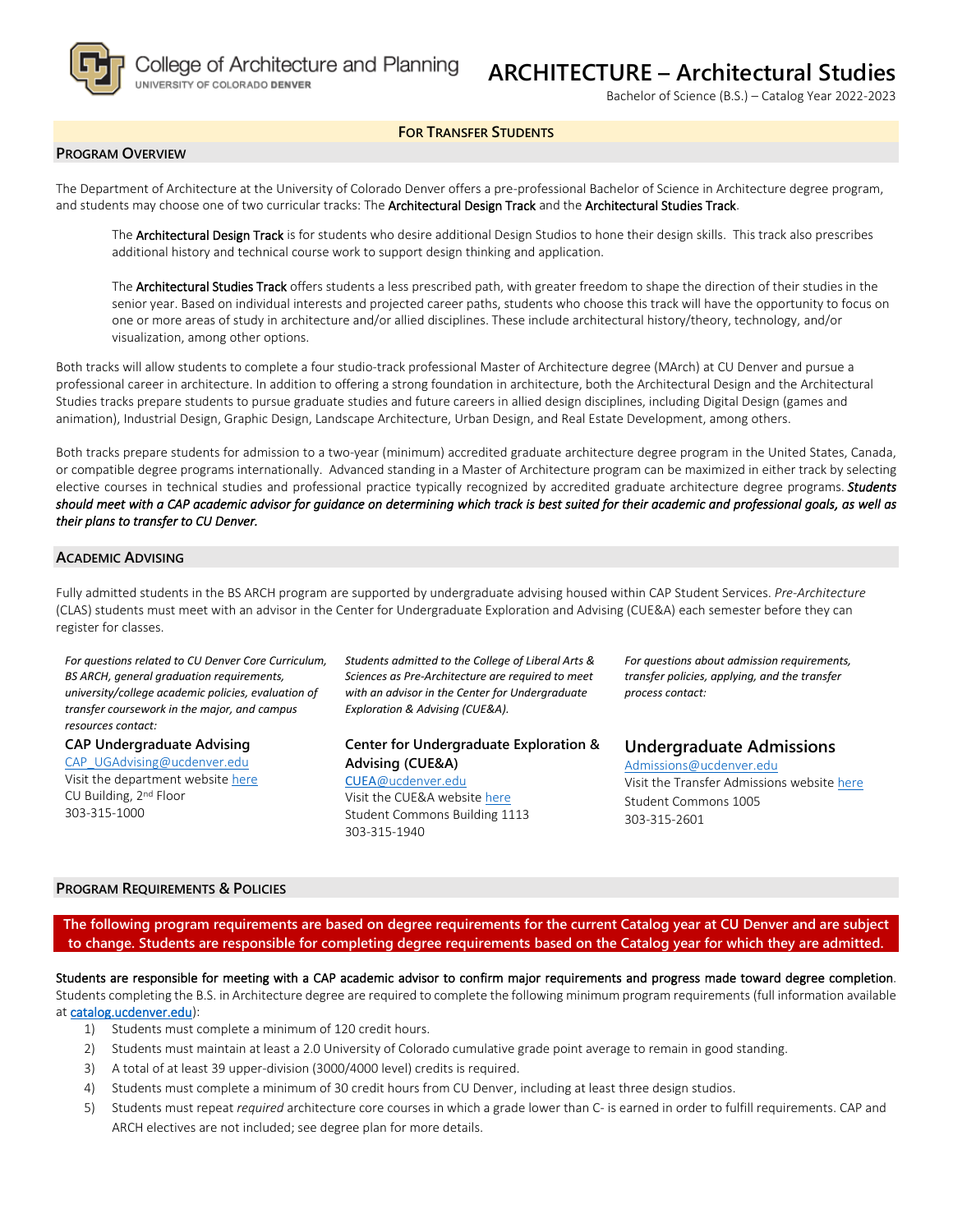

# **ARCHITECTURE – Architectural Studies**

Bachelor of Science (B.S.) – Catalog Year 2022-2023

#### **FOR TRANSFER STUDENTS**

#### **PROGRAM OVERVIEW**

The Department of Architecture at the University of Colorado Denver offers a pre-professional Bachelor of Science in Architecture degree program, and students may choose one of two curricular tracks: The Architectural Design Track and the Architectural Studies Track.

The **Architectural Design Track** is for students who desire additional Design Studios to hone their design skills. This track also prescribes additional history and technical course work to support design thinking and application.

The **Architectural Studies Track** offers students a less prescribed path, with greater freedom to shape the direction of their studies in the senior year. Based on individual interests and projected career paths, students who choose this track will have the opportunity to focus on one or more areas of study in architecture and/or allied disciplines. These include architectural history/theory, technology, and/or visualization, among other options.

Both tracks will allow students to complete a four studio-track professional Master of Architecture degree (MArch) at CU Denver and pursue a professional career in architecture. In addition to offering a strong foundation in architecture, both the Architectural Design and the Architectural Studies tracks prepare students to pursue graduate studies and future careers in allied design disciplines, including Digital Design (games and animation), Industrial Design, Graphic Design, Landscape Architecture, Urban Design, and Real Estate Development, among others.

Both tracks prepare students for admission to a two-year (minimum) accredited graduate architecture degree program in the United States, Canada, or compatible degree programs internationally. Advanced standing in a Master of Architecture program can be maximized in either track by selecting elective courses in technical studies and professional practice typically recognized by accredited graduate architecture degree programs. *Students should meet with a CAP academic advisor for guidance on determining which track is best suited for their academic and professional goals, as well as their plans to transfer to CU Denver.* 

#### **ACADEMIC ADVISING**

Fully admitted students in the BS ARCH program are supported by undergraduate advising housed within CAP Student Services. *Pre-Architecture* (CLAS) students must meet with an advisor in the Center for Undergraduate Exploration and Advising (CUE&A) each semester before they can register for classes.

*For questions related to CU Denver Core Curriculum, BS ARCH, general graduation requirements, university/college academic policies, evaluation of transfer coursework in the major, and campus resources contact:* 

**CAP Undergraduate Advising** [CAP\\_UGAdvising@ucdenver.edu](mailto:CAP_UGAdvising@ucdenver.edu) Visit the department website [here](http://www.ucdenver.edu/academics/colleges/ArchitecturePlanning/Academics/DegreePrograms/BSArch/Pages/BSArch.aspx) CU Building, 2nd Floor 303-315-1000

*Students admitted to the College of Liberal Arts & Sciences as Pre-Architecture are required to meet with an advisor in the Center for Undergraduate Exploration & Advising (CUE&A).*

### **Center for Undergraduate Exploration & Advising (CUE&A)**

CUEA[@ucdenver.edu](mailto:CUEA@ucdenver.edu) Visit the CUE&A websit[e here](http://www.ucdenver.edu/life/services/asac/Pages/default.aspx) Student Commons Building 1113 303-315-1940

*For questions about admission requirements, transfer policies, applying, and the transfer process contact:* 

**Undergraduate Admissions**  Admissions@ucdenver.edu Visit the Transfer Admissions websi[te](http://www.ucdenver.edu/admissions/bachelors/Transfer/Pages/index.aspx) [here](https://www1.ucdenver.edu/transfer)

Student Commons 1005 303-315-2601

#### **PROGRAM REQUIREMENTS & POLICIES**

**The following program requirements are based on degree requirements for the current Catalog year at CU Denver and are subject to change. Students are responsible for completing degree requirements based on the Catalog year for which they are admitted.**

Students are responsible for meeting with a CAP academic advisor to confirm major requirements and progress made toward degree completion.

Students completing the B.S. in Architecture degree are required to complete the following minimum program requirements (full information available a[t catalog.ucdenver.edu\)](http://catalog.ucdenver.edu/preview_program.php?catoid=22&poid=6492&returnto=6002):

- 1) Students must complete a minimum of 120 credit hours.
- 2) Students must maintain at least a 2.0 University of Colorado cumulative grade point average to remain in good standing.
- 3) A total of at least 39 upper-division (3000/4000 level) credits is required.
- 4) Students must complete a minimum of 30 credit hours from CU Denver, including at least three design studios.
- 5) Students must repeat *required* architecture core courses in which a grade lower than C- is earned in order to fulfill requirements. CAP and ARCH electives are not included; see degree plan for more details.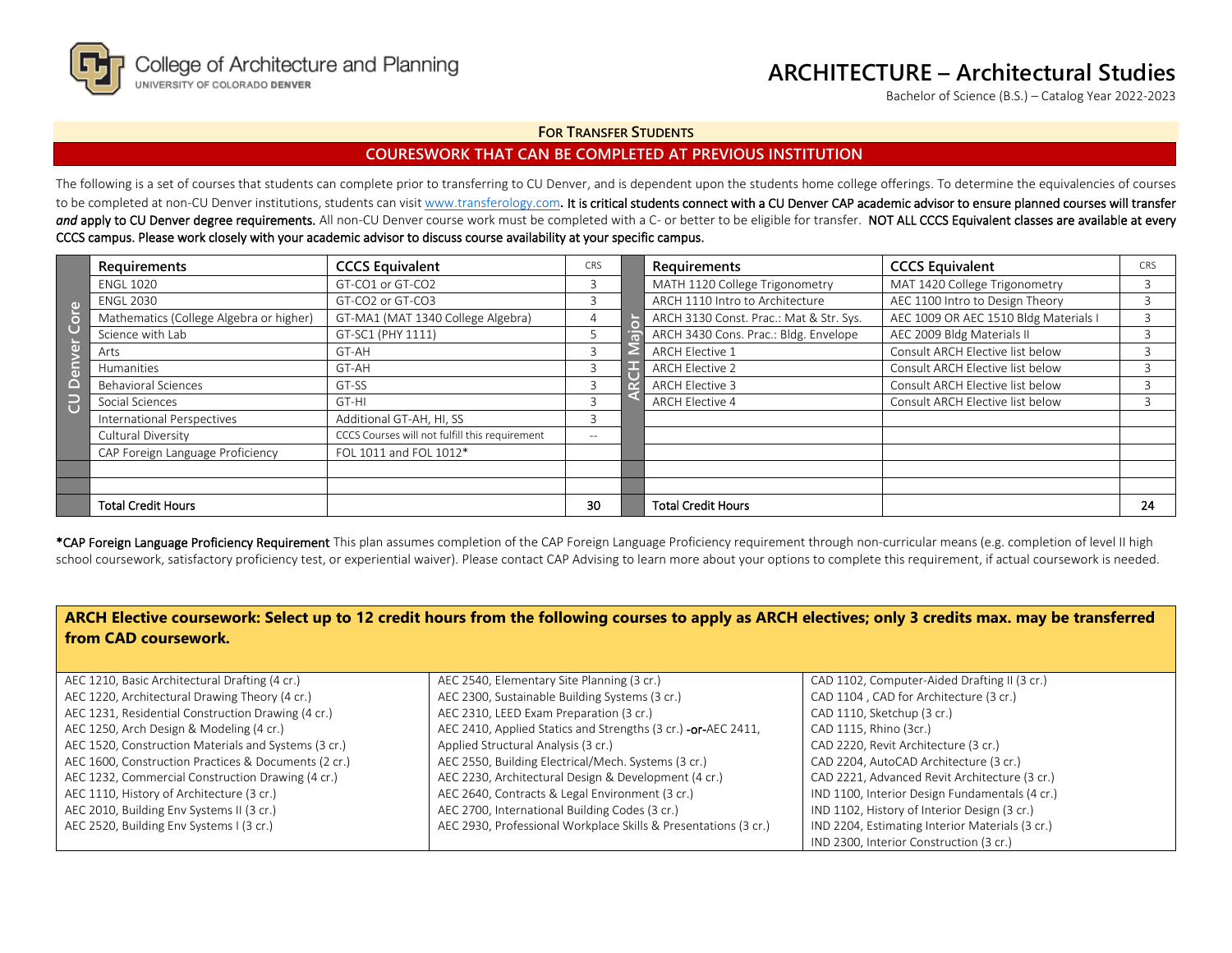

## **ARCHITECTURE – Architectural Studies**

Bachelor of Science (B.S.) – Catalog Year 2022-2023

#### **FOR TRANSFER STUDENTS**

## **COURESWORK THAT CAN BE COMPLETED AT PREVIOUS INSTITUTION**

The following is a set of courses that students can complete prior to transferring to CU Denver, and is dependent upon the students home college offerings. To determine the equivalencies of courses to be completed at non-CU Denver institutions, students can visi[t www.transferology.com](http://www.transferology.com/). It is critical students connect with a CU Denver CAP academic advisor to ensure planned courses will transfer and apply to CU Denver degree requirements. All non-CU Denver course work must be completed with a C- or better to be eligible for transfer. NOT ALL CCCS Equivalent classes are available at every CCCS campus. Please work closely with your academic advisor to discuss course availability at your specific campus.

|   | Requirements                            | <b>CCCS Equivalent</b>                         | CRS   | <b>Requirements</b>                     | <b>CCCS Equivalent</b>                | CRS |
|---|-----------------------------------------|------------------------------------------------|-------|-----------------------------------------|---------------------------------------|-----|
|   | <b>ENGL 1020</b>                        | GT-CO1 or GT-CO2                               | 3.    | MATH 1120 College Trigonometry          | MAT 1420 College Trigonometry         |     |
|   | <b>ENGL 2030</b>                        | GT-CO2 or GT-CO3                               |       | ARCH 1110 Intro to Architecture         | AEC 1100 Intro to Design Theory       |     |
|   | Mathematics (College Algebra or higher) | GT-MA1 (MAT 1340 College Algebra)              |       | ARCH 3130 Const. Prac.: Mat & Str. Sys. | AEC 1009 OR AEC 1510 Bldg Materials I |     |
|   | Science with Lab                        | GT-SC1 (PHY 1111)                              |       | ARCH 3430 Cons. Prac.: Bldg. Envelope   | AEC 2009 Bldg Materials II            |     |
|   | Arts                                    | GT-AH                                          |       | <b>ARCH Elective 1</b>                  | Consult ARCH Elective list below      |     |
|   | Humanities                              | GT-AH                                          | 3     | <b>ARCH Elective 2</b>                  | Consult ARCH Elective list below      |     |
|   | <b>Behavioral Sciences</b>              | GT-SS                                          |       | <b>ARCH Elective 3</b>                  | Consult ARCH Elective list below      |     |
| B | Social Sciences                         | GT-HI                                          |       | <b>ARCH Elective 4</b>                  | Consult ARCH Elective list below      |     |
|   | <b>International Perspectives</b>       | Additional GT-AH, HI, SS                       |       |                                         |                                       |     |
|   | Cultural Diversity                      | CCCS Courses will not fulfill this requirement | $- -$ |                                         |                                       |     |
|   | CAP Foreign Language Proficiency        | FOL 1011 and FOL 1012*                         |       |                                         |                                       |     |
|   |                                         |                                                |       |                                         |                                       |     |
|   |                                         |                                                |       |                                         |                                       |     |
|   | <b>Total Credit Hours</b>               |                                                | 30    | <b>Total Credit Hours</b>               |                                       | 24  |

\*CAP Foreign Language Proficiency Requirement This plan assumes completion of the CAP Foreign Language Proficiency requirement through non-curricular means (e.g. completion of level II high school coursework, satisfactory proficiency test, or experiential waiver). Please contact CAP Advising to learn more about your options to complete this requirement, if actual coursework is needed.

| ARCH Elective coursework: Select up to 12 credit hours from the following courses to apply as ARCH electives; only 3 credits max. may be transferred<br>from CAD coursework. |                                                                 |                                                 |  |  |  |  |  |  |
|------------------------------------------------------------------------------------------------------------------------------------------------------------------------------|-----------------------------------------------------------------|-------------------------------------------------|--|--|--|--|--|--|
|                                                                                                                                                                              |                                                                 |                                                 |  |  |  |  |  |  |
| AEC 1210, Basic Architectural Drafting (4 cr.)                                                                                                                               | AEC 2540, Elementary Site Planning (3 cr.)                      | CAD 1102, Computer-Aided Drafting II (3 cr.)    |  |  |  |  |  |  |
| AEC 1220, Architectural Drawing Theory (4 cr.)                                                                                                                               | AEC 2300, Sustainable Building Systems (3 cr.)                  | CAD 1104, CAD for Architecture (3 cr.)          |  |  |  |  |  |  |
| AEC 1231, Residential Construction Drawing (4 cr.)                                                                                                                           | AEC 2310, LEED Exam Preparation (3 cr.)                         | CAD 1110, Sketchup (3 cr.)                      |  |  |  |  |  |  |
| AEC 1250, Arch Design & Modeling (4 cr.)                                                                                                                                     | AEC 2410, Applied Statics and Strengths (3 cr.) - or-AEC 2411,  | CAD 1115, Rhino (3cr.)                          |  |  |  |  |  |  |
| AEC 1520, Construction Materials and Systems (3 cr.)                                                                                                                         | Applied Structural Analysis (3 cr.)                             | CAD 2220, Revit Architecture (3 cr.)            |  |  |  |  |  |  |
| AEC 1600, Construction Practices & Documents (2 cr.)                                                                                                                         | AEC 2550, Building Electrical/Mech. Systems (3 cr.)             | CAD 2204, AutoCAD Architecture (3 cr.)          |  |  |  |  |  |  |
| AEC 1232, Commercial Construction Drawing (4 cr.)                                                                                                                            | AEC 2230, Architectural Design & Development (4 cr.)            | CAD 2221, Advanced Revit Architecture (3 cr.)   |  |  |  |  |  |  |
| AEC 1110, History of Architecture (3 cr.)                                                                                                                                    | AEC 2640, Contracts & Legal Environment (3 cr.)                 | IND 1100, Interior Design Fundamentals (4 cr.)  |  |  |  |  |  |  |
| AEC 2010, Building Env Systems II (3 cr.)                                                                                                                                    | AEC 2700, International Building Codes (3 cr.)                  | IND 1102, History of Interior Design (3 cr.)    |  |  |  |  |  |  |
| AEC 2520, Building Env Systems I (3 cr.)                                                                                                                                     | AEC 2930, Professional Workplace Skills & Presentations (3 cr.) | IND 2204, Estimating Interior Materials (3 cr.) |  |  |  |  |  |  |
|                                                                                                                                                                              |                                                                 | IND 2300. Interior Construction (3 cr.)         |  |  |  |  |  |  |